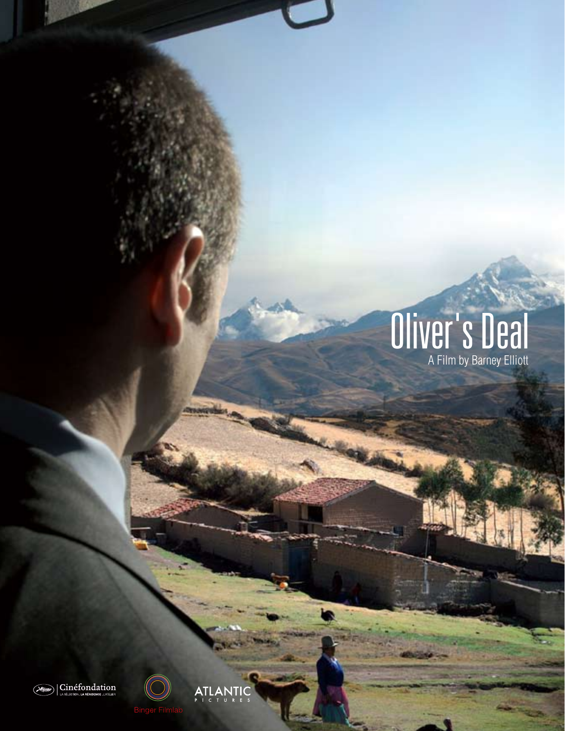# **Oliver's Deal**





**ATLANTIC**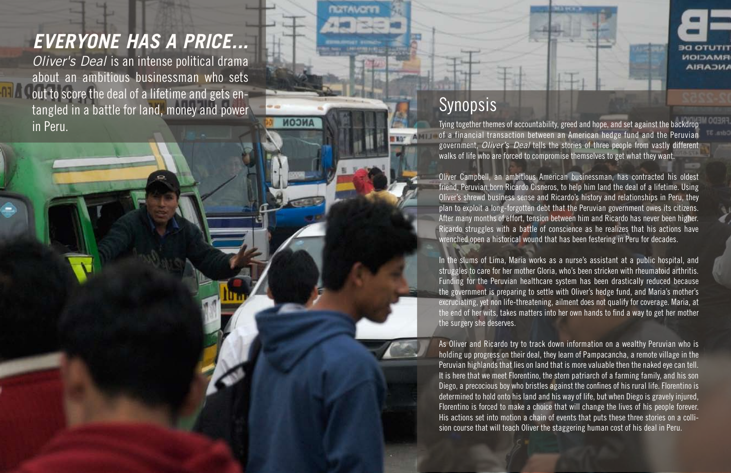# *EVERYONE HAS A PRICE...*

*Oliver's Deal* is an intense political drama about an ambitious businessman who sets out to score the deal of a lifetime and gets entangled in a battle for land, money and power in Peru.



## Synopsis

*RIZTAVER* 

**ИСОМ** 

Tying together themes of accountability, greed and hope, and set against the backdrop of a financial transaction between an American hedge fund and the Peruvian government, *Oliver's Deal* tells the stories of three people from vastly different walks of life who are forced to compromise themselves to get what they want.

Oliver Campbell, an ambitious American businessman, has contracted his oldest friend, Peruvian born Ricardo Cisneros, to help him land the deal of a lifetime. Using Oliver's shrewd business sense and Ricardo's history and relationships in Peru, they plan to exploit a long-forgotten debt that the Peruvian government owes its citizens. After many months of effort, tension between him and Ricardo has never been higher. Ricardo struggles with a battle of conscience as he realizes that his actions have wrenched open a historical wound that has been festering in Peru for decades.

In the slums of Lima, Maria works as a nurse's assistant at a public hospital, and struggles to care for her mother Gloria, who's been stricken with rheumatoid arthritis. Funding for the Peruvian healthcare system has been drastically reduced because the government is preparing to settle with Oliver's hedge fund, and Maria's mother's excruciating, yet non life-threatening, ailment does not qualify for coverage. Maria, at the end of her wits, takes matters into her own hands to find a way to get her mother the surgery she deserves.

As Oliver and Ricardo try to track down information on a wealthy Peruvian who is holding up progress on their deal, they learn of Pampacancha, a remote village in the Peruvian highlands that lies on land that is more valuable then the naked eye can tell. It is here that we meet Florentino, the stern patriarch of a farming family, and his son Diego, a precocious boy who bristles against the confines of his rural life. Florentino is determined to hold onto his land and his way of life, but when Diego is gravely injured, Florentino is forced to make a choice that will change the lives of his people forever. His actions set into motion a chain of events that puts these three stories on a collision course that will teach Oliver the staggering human cost of his deal in Peru.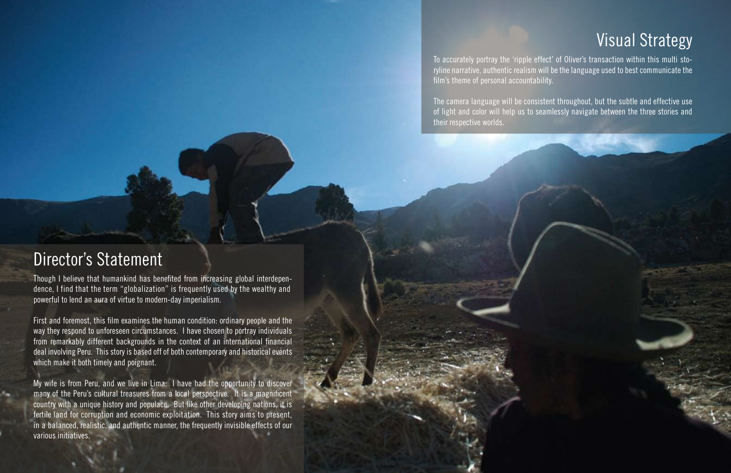## Visual Strategy

To accurately portray the 'ripple effect' of Oliver's transaction within this multi storyline narrative, authentic realism will be the language used to best communicate the film's theme of personal accountability.

The camera language will be consistent throughout, but the subtle and effective use of light and color will help us to seamlessly navigate between the three stories and their respective worlds.

#### Director's Statement

Though I believe that humankind has benefited from increasing global interdependence, I find that the term "globalization" is frequently used by the wealthy and powerful to lend an aura of virtue to modern-day imperialism.

First and foremost, this film examines the human condition: ordinary people and the way they respond to unforeseen circumstances. I have chosen to portray individuals from remarkably different backgrounds in the context of an international financial deal involving Peru. This story is based off of both contemporary and historical events which make it both timely and poignant.

My wife is from Peru, and we live in Lima. I have had the opportunity to discover many of the Peru's cultural treasures from a local perspective. It is a magnificent country with a unique history and populace. But like other developing nations, it is fertile land for corruption and economic exploitation. This story aims to present, in a balanced, realistic, and authentic manner, the frequently invisible effects of our various initiatives.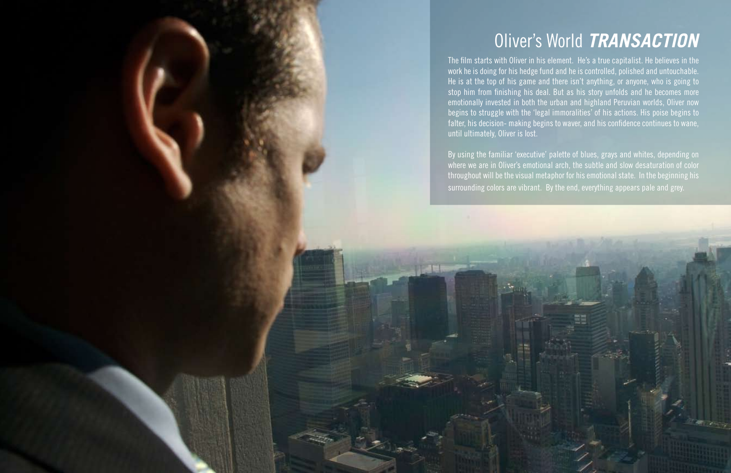# Oliver's World *TRANSACTION*

The film starts with Oliver in his element. He's a true capitalist. He believes in the work he is doing for his hedge fund and he is controlled, polished and untouchable. He is at the top of his game and there isn't anything, or anyone, who is going to stop him from finishing his deal. But as his story unfolds and he becomes more emotionally invested in both the urban and highland Peruvian worlds, Oliver now begins to struggle with the 'legal immoralities' of his actions. His poise begins to falter, his decision- making begins to waver, and his confidence continues to wane, until ultimately, Oliver is lost.

By using the familiar 'executive' palette of blues, grays and whites, depending on where we are in Oliver's emotional arch, the subtle and slow desaturation of color throughout will be the visual metaphor for his emotional state. In the beginning his surrounding colors are vibrant. By the end, everything appears pale and grey.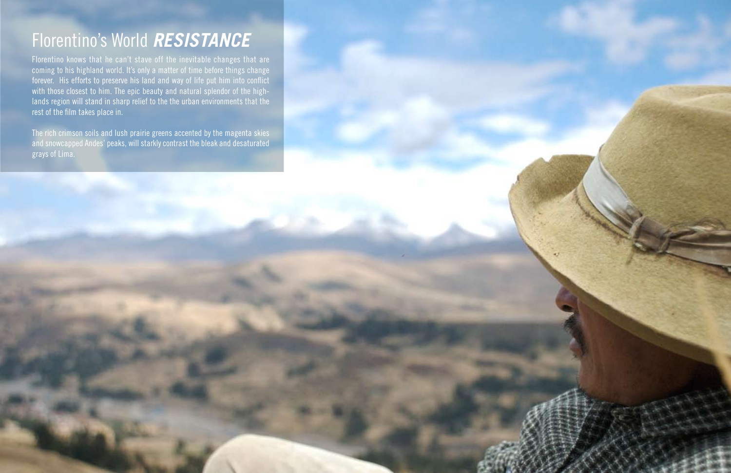# Florentino's World *RESISTANCE*

Florentino knows that he can't stave off the inevitable changes that are coming to his highland world. It's only a matter of time before things change forever. His efforts to preserve his land and way of life put him into conflict with those closest to him. The epic beauty and natural splendor of the highlands region will stand in sharp relief to the the urban environments that the rest of the film takes place in.

The rich crimson soils and lush prairie greens accented by the magenta skies and snowcapped Andes' peaks, will starkly contrast the bleak and desaturated grays of Lima.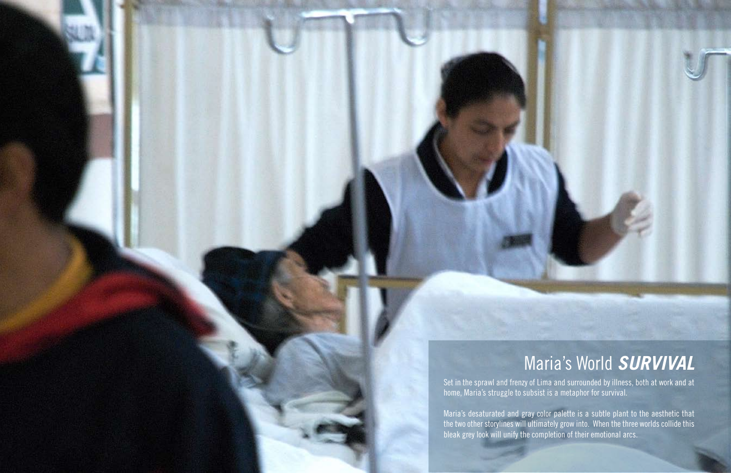# Maria's World *SURVIVAL*

Set in the sprawl and frenzy of Lima and surrounded by illness, both at work and at home, Maria's struggle to subsist is a metaphor for survival.

Maria's desaturated and gray color palette is a subtle plant to the aesthetic that the two other storylines will ultimately grow into. When the three worlds collide this bleak grey look will unify the completion of their emotional arcs.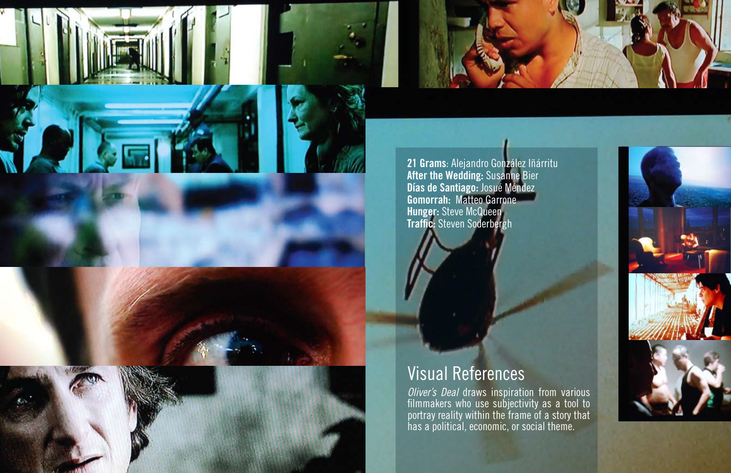



**21 Grams**: Alejandro González Iñárritu **After the Wedding:** Susanne Bier **Días de Santiago:** Josué Méndez **Gomorrah:** Matteo Garrone **Hunger:** Steve McQueen **Traffic:** Steven Soderbergh



*Oliver's Deal* draws inspiration from various filmmakers who use subjectivity as a tool to portray reality within the frame of a story that has a political, economic, or social theme.





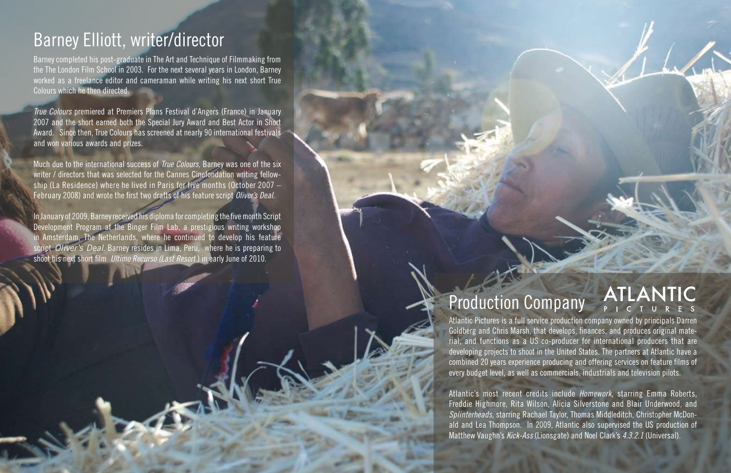## Barney Elliott, writer/director

Barney completed his post-graduate in The Art and Technique of Filmmaking from the The London Film School in 2003. For the next several years in London, Barney worked as a freelance editor and cameraman while writing his next short True Colours which he then directed.

*True Colours* premiered at Premiers Plans Festival d'Angers (France) in January 2007 and the short earned both the Special Jury Award and Best Actor in Short Award. Since then, True Colours has screened at nearly 90 international festivals and won various awards and prizes.

Much due to the international success of *True Colours,* Barney was one of the six writer / directors that was selected for the Cannes Cinefondation writing fellowship (La Residence) where he lived in Paris for five months (October 2007 – February 2008) and wrote the first two drafts of his feature script *Oliver's Deal*.

In January of 2009, Barney received his diploma for completing the five month Script Development Program at the Binger Film Lab, a prestigious writing workshop in Amsterdam, The Netherlands, where he continued to develop his feature script *Oliver's Deal*. Barney resides in Lima, Peru, where he is preparing to shoot his next short film *Ultimo Recurso (Last Resort* ) in early June of 2010.

# Production Company

Atlantic Pictures is a full service production company owned by principals Darren Goldberg and Chris Marsh, that develops, finances, and produces original material, and functions as a US co-producer for international producers that are developing projects to shoot in the United States. The partners at Atlantic have a combined 20 years experience producing and offering services on feature films of every budget level, as well as commercials, industrials and television pilots.

**ATLANTIC** 

Atlantic's most recent credits include *Homework,* starring Emma Roberts, Freddie Highmore, Rita Wilson, Alicia Silverstone and Blair Underwood, and *Splinterheads*, starring Rachael Taylor, Thomas Middleditch, Christopher McDonald and Lea Thompson. In 2009, Atlantic also supervised the US production of Matthew Vaughn's *Kick-Ass* (Lionsgate) and Noel Clark's *4.3.2.1* (Universal).